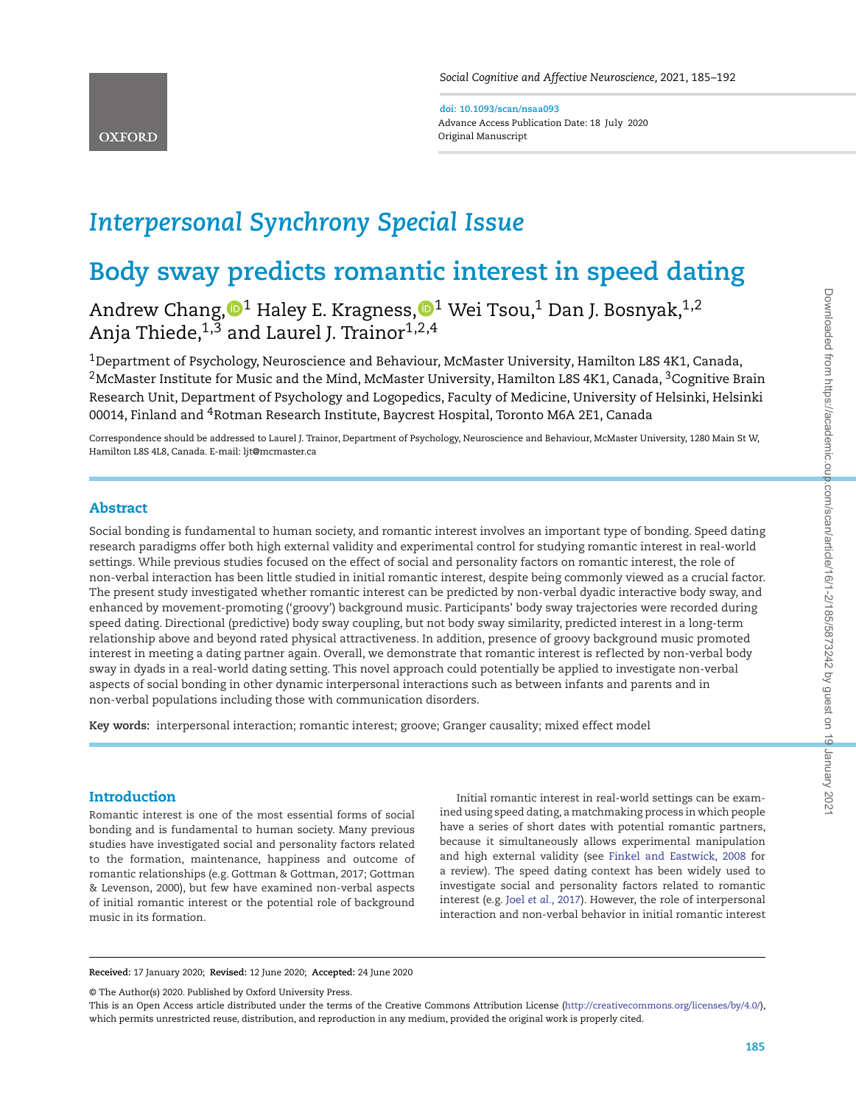**doi: 10.1093/scan/nsaa093** Advance Access Publication Date: 18 July 202 0 Original Manuscript

# *Interpersonal Synchrony Special Issue*

# **Body sway predicts romantic interest in speed dating**

Andrew Chang[,](http://orcid.org/0000-0003-3137-7655) $\mathbf{0}^1$  Haley E. Kragness, $\mathbf{0}^1$  Wei Tsou, $^1$  Dan J. Bosnyak, $^{1,2}$ Anja Thiede,<sup>1,3</sup> and Laurel J. Trainor<sup>1,2,4</sup>

1Department of Psychology, Neuroscience and Behaviour, McMaster University, Hamilton L8S 4K1, Canada, <sup>2</sup>McMaster Institute for Music and the Mind, McMaster University, Hamilton L8S 4K1, Canada, <sup>3</sup>Cognitive Brain Research Unit, Department of Psychology and Logopedics, Faculty of Medicine, University of Helsinki, Helsinki 00014, Finland and 4Rotman Research Institute, Baycrest Hospital, Toronto M6A 2E1, Canada

Correspondence should be addressed to Laurel J. Trainor, Department of Psychology, Neuroscience and Behaviour, McMaster University, 1280 Main St W, Hamilton L8S 4L8, Canada. E-mail: ljt@mcmaster.ca

## **Abstract**

Social bonding is fundamental to human society, and romantic interest involves an important type of bonding. Speed dating research paradigms offer both high external validity and experimental control for studying romantic interest in real-world settings. While previous studies focused on the effect of social and personality factors on romantic interest, the role of non-verbal interaction has been little studied in initial romantic interest, despite being commonly viewed as a crucial factor. The present study investigated whether romantic interest can be predicted by non-verbal dyadic interactive body sway, and enhanced by movement-promoting ('groovy') background music. Participants' body sway trajectories were recorded during speed dating. Directional (predictive) body sway coupling, but not body sway similarity, predicted interest in a long-term relationship above and beyond rated physical attractiveness. In addition, presence of groovy background music promoted interest in meeting a dating partner again. Overall, we demonstrate that romantic interest is ref lected by non-verbal body sway in dyads in a real-world dating setting. This novel approach could potentially be applied to investigate non-verbal aspects of social bonding in other dynamic interpersonal interactions such as between infants and parents and in non-verbal populations including those with communication disorders.

**Key words:** interpersonal interaction; romantic interest; groove; Granger causality; mixed effect model

## **Introduction**

Romantic interest is one of the most essential forms of social bonding and is fundamental to human society. Many previous studies have investigated social and personality factors related to the formation, maintenance, happiness and outcome of romantic relationships (e.g. Gottman & Gottman, 2017; Gottman & Levenson, 2000), but few have examined non-verbal aspects of initial romantic interest or the potential role of background music in its formation.

Initial romantic interest in real-world settings can be examined using speed dating, a matchmaking process in which people have a series of short dates with potential romantic partners, because it simultaneously allows experimental manipulation and high external validity (see [Finkel and Eastwick, 2008](#page-6-0) for a review). The speed dating context has been widely used to investigate social and personality factors related to romantic interest (e.g. Joel *[et al.,](#page-6-1)* 2017). However, the role of interpersonal interaction and non-verbal behavior in initial romantic interest

**Received:** 17 January 2020; **Revised:** 12 June 2020; **Accepted:** 24 June 2020

© The Author(s) 2020. Published by Oxford University Press.

This is an Open Access article distributed under the terms of the Creative Commons Attribution License [\(http://creativecommons.org/licenses/by/4.0/\)](http://creativecommons.org/licenses/by/4.0/), which permits unrestricted reuse, distribution, and reproduction in any medium, provided the original work is properly cited.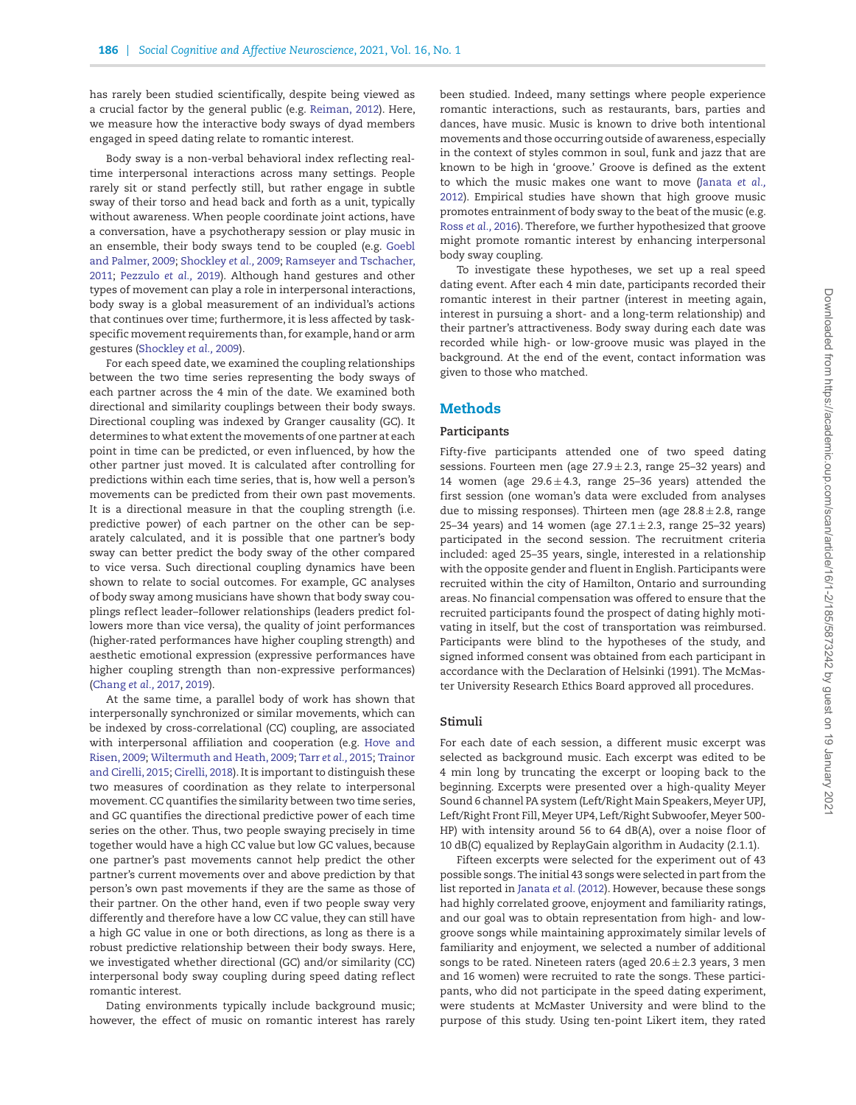has rarely been studied scientifically, despite being viewed as a crucial factor by the general public (e.g. [Reiman, 2012\)](#page-7-0). Here, we measure how the interactive body sways of dyad members engaged in speed dating relate to romantic interest.

Body sway is a non-verbal behavioral index reflecting realtime interpersonal interactions across many settings. People rarely sit or stand perfectly still, but rather engage in subtle sway of their torso and head back and forth as a unit, typically without awareness. When people coordinate joint actions, have a conversation, have a psychotherapy session or play music in [an ensemble, their body sways tend to be coupled \(e.g.](#page-6-2) Goebl and Palmer, 2009; [Shockley](#page-7-1) *et al.,* 2009; Ramseyer and Tschacher, 2011; [Pezzulo](#page-6-4) *et al.,* [2019\). Although hand gestures and other](#page-6-3) types of movement can play a role in interpersonal interactions, body sway is a global measurement of an individual's actions that continues over time; furthermore, it is less affected by taskspecific movement requirements than, for example, hand or arm gestures [\(Shockley](#page-7-1) *et al.,* 2009).

For each speed date, we examined the coupling relationships between the two time series representing the body sways of each partner across the 4 min of the date. We examined both directional and similarity couplings between their body sways. Directional coupling was indexed by Granger causality (GC). It determines to what extent the movements of one partner at each point in time can be predicted, or even influenced, by how the other partner just moved. It is calculated after controlling for predictions within each time series, that is, how well a person's movements can be predicted from their own past movements. It is a directional measure in that the coupling strength (i.e. predictive power) of each partner on the other can be separately calculated, and it is possible that one partner's body sway can better predict the body sway of the other compared to vice versa. Such directional coupling dynamics have been shown to relate to social outcomes. For example, GC analyses of body sway among musicians have shown that body sway couplings ref lect leader–follower relationships (leaders predict followers more than vice versa), the quality of joint performances (higher-rated performances have higher coupling strength) and aesthetic emotional expression (expressive performances have higher coupling strength than non-expressive performances) [\(Chang](#page-6-5) *et al.,* 2017, [2019\)](#page-6-6).

At the same time, a parallel body of work has shown that interpersonally synchronized or similar movements, which can be indexed by cross-correlational (CC) coupling, are associated [with interpersonal affiliation and cooperation \(e.g.](#page-6-7) Hove and Risen, 2009; [Wiltermuth and Heath, 2009;](#page-7-2) Tarr *[et al.,](#page-7-3)* 2015; Trainor and Cirelli, 2015; [Cirelli, 2018\). It is important to distinguish these](#page-7-4) two measures of coordination as they relate to interpersonal movement. CC quantifies the similarity between two time series, and GC quantifies the directional predictive power of each time series on the other. Thus, two people swaying precisely in time together would have a high CC value but low GC values, because one partner's past movements cannot help predict the other partner's current movements over and above prediction by that person's own past movements if they are the same as those of their partner. On the other hand, even if two people sway very differently and therefore have a low CC value, they can still have a high GC value in one or both directions, as long as there is a robust predictive relationship between their body sways. Here, we investigated whether directional (GC) and/or similarity (CC) interpersonal body sway coupling during speed dating reflect romantic interest.

Dating environments typically include background music; however, the effect of music on romantic interest has rarely been studied. Indeed, many settings where people experience romantic interactions, such as restaurants, bars, parties and dances, have music. Music is known to drive both intentional movements and those occurring outside of awareness, especially in the context of styles common in soul, funk and jazz that are known to be high in 'groove.' Groove is defined as the extent to which the music makes one want to move (Janata *et al.,* [2012\). Empirical studies have shown that high groove music](#page-6-9) promotes entrainment of body sway to the beat of the music (e.g. Ross *[et al.,](#page-7-5)* 2016). Therefore, we further hypothesized that groove might promote romantic interest by enhancing interpersonal body sway coupling.

To investigate these hypotheses, we set up a real speed dating event. After each 4 min date, participants recorded their romantic interest in their partner (interest in meeting again, interest in pursuing a short- and a long-term relationship) and their partner's attractiveness. Body sway during each date was recorded while high- or low-groove music was played in the background. At the end of the event, contact information was given to those who matched.

### **Methods**

#### **Participants**

Fifty-five participants attended one of two speed dating sessions. Fourteen men (age  $27.9 \pm 2.3$ , range 25-32 years) and 14 women (age  $29.6 \pm 4.3$ , range 25-36 years) attended the first session (one woman's data were excluded from analyses due to missing responses). Thirteen men (age  $28.8 \pm 2.8$ , range 25–34 years) and 14 women (age  $27.1 \pm 2.3$ , range 25–32 years) participated in the second session. The recruitment criteria included: aged 25–35 years, single, interested in a relationship with the opposite gender and fluent in English. Participants were recruited within the city of Hamilton, Ontario and surrounding areas. No financial compensation was offered to ensure that the recruited participants found the prospect of dating highly motivating in itself, but the cost of transportation was reimbursed. Participants were blind to the hypotheses of the study, and signed informed consent was obtained from each participant in accordance with the Declaration of Helsinki (1991). The McMaster University Research Ethics Board approved all procedures.

#### **Stimuli**

For each date of each session, a different music excerpt was selected as background music. Each excerpt was edited to be 4 min long by truncating the excerpt or looping back to the beginning. Excerpts were presented over a high-quality Meyer Sound 6 channel PA system (Left/Right Main Speakers, Meyer UPJ, Left/Right Front Fill, Meyer UP4, Left/Right Subwoofer, Meyer 500- HP) with intensity around 56 to 64  $dB(A)$ , over a noise floor of 10 dB(C) equalized by ReplayGain algorithm in Audacity (2.1.1).

Fifteen excerpts were selected for the experiment out of 43 possible songs. The initial 43 songs were selected in part from the list reported in [Janata](#page-6-9) *et al.* (2012). However, because these songs had highly correlated groove, enjoyment and familiarity ratings, and our goal was to obtain representation from high- and lowgroove songs while maintaining approximately similar levels of familiarity and enjoyment, we selected a number of additional songs to be rated. Nineteen raters (aged  $20.6 \pm 2.3$  years, 3 men and 16 women) were recruited to rate the songs. These participants, who did not participate in the speed dating experiment, were students at McMaster University and were blind to the purpose of this study. Using ten-point Likert item, they rated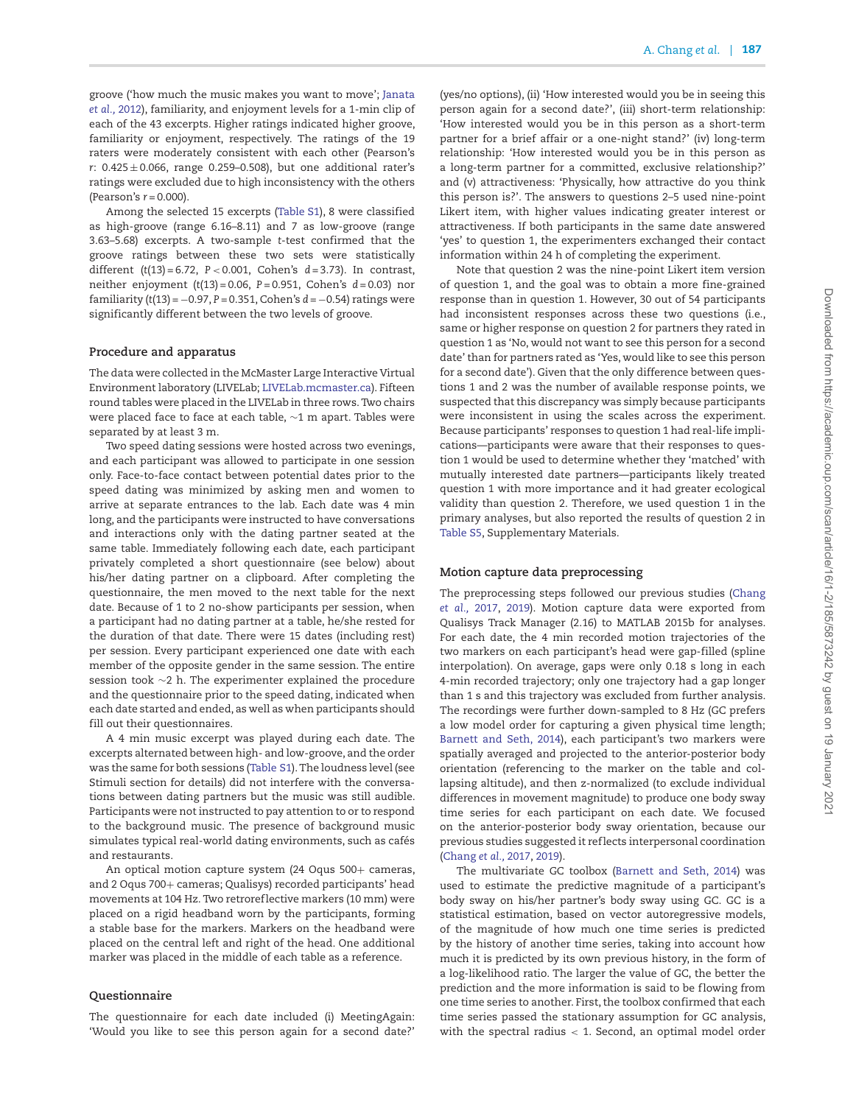groove ('how much the music makes you want to move'; Janata *et al.,* [2012\), familiarity, and enjoyment levels for a 1-min clip of](#page-6-9) each of the 43 excerpts. Higher ratings indicated higher groove, familiarity or enjoyment, respectively. The ratings of the 19 raters were moderately consistent with each other (Pearson's *r*: 0.425 ± 0.066, range 0.259–0.508), but one additional rater's ratings were excluded due to high inconsistency with the others (Pearson's *r* = 0.000).

Among the selected 15 excerpts [\(Table S1\)](https://academic.oup.com/scan/article-lookup/doi/10.1093/scan/nsaa093#supplementary-data), 8 were classified as high-groove (range 6.16–8.11) and 7 as low-groove (range 3.63–5.68) excerpts. A two-sample *t*-test confirmed that the groove ratings between these two sets were statistically different (*t*(13) = 6.72, *P <* 0.001, Cohen's *d* = 3.73). In contrast, neither enjoyment (*t*(13) = 0.06, *P* = 0.951, Cohen's *d* = 0.03) nor familiarity (*t*(13) = −0.97, *P* = 0.351, Cohen's *d* = −0.54) ratings were significantly different between the two levels of groove.

#### **Procedure and apparatus**

The data were collected in the McMaster Large Interactive Virtual Environment laboratory (LIVELab; [LIVELab.mcmaster.ca\)](LIVELab.mcmaster.ca). Fifteen round tables were placed in the LIVELab in three rows. Two chairs were placed face to face at each table, ∼1 m apart. Tables were separated by at least 3 m.

Two speed dating sessions were hosted across two evenings, and each participant was allowed to participate in one session only. Face-to-face contact between potential dates prior to the speed dating was minimized by asking men and women to arrive at separate entrances to the lab. Each date was 4 min long, and the participants were instructed to have conversations and interactions only with the dating partner seated at the same table. Immediately following each date, each participant privately completed a short questionnaire (see below) about his/her dating partner on a clipboard. After completing the questionnaire, the men moved to the next table for the next date. Because of 1 to 2 no-show participants per session, when a participant had no dating partner at a table, he/she rested for the duration of that date. There were 15 dates (including rest) per session. Every participant experienced one date with each member of the opposite gender in the same session. The entire session took ∼2 h. The experimenter explained the procedure and the questionnaire prior to the speed dating, indicated when each date started and ended, as well as when participants should fill out their questionnaires.

A 4 min music excerpt was played during each date. The excerpts alternated between high- and low-groove, and the order was the same for both sessions [\(Table S1\)](https://academic.oup.com/scan/article-lookup/doi/10.1093/scan/nsaa093#supplementary-data). The loudness level (see Stimuli section for details) did not interfere with the conversations between dating partners but the music was still audible. Participants were not instructed to pay attention to or to respond to the background music. The presence of background music simulates typical real-world dating environments, such as cafés and restaurants.

An optical motion capture system (24 Oqus 500+ cameras, and 2 Oqus 700+ cameras; Qualisys) recorded participants' head movements at 104 Hz. Two retroref lective markers (10 mm) were placed on a rigid headband worn by the participants, forming a stable base for the markers. Markers on the headband were placed on the central left and right of the head. One additional marker was placed in the middle of each table as a reference.

#### **Questionnaire**

The questionnaire for each date included (i) MeetingAgain: 'Would you like to see this person again for a second date?'

(yes/no options), (ii) 'How interested would you be in seeing this person again for a second date?', (iii) short-term relationship: 'How interested would you be in this person as a short-term partner for a brief affair or a one-night stand?' (iv) long-term relationship: 'How interested would you be in this person as a long-term partner for a committed, exclusive relationship?' and (v) attractiveness: 'Physically, how attractive do you think this person is?'. The answers to questions 2–5 used nine-point Likert item, with higher values indicating greater interest or attractiveness. If both participants in the same date answered 'yes' to question 1, the experimenters exchanged their contact information within 24 h of completing the experiment.

Note that question 2 was the nine-point Likert item version of question 1, and the goal was to obtain a more fine-grained response than in question 1. However, 30 out of 54 participants had inconsistent responses across these two questions (i.e., same or higher response on question 2 for partners they rated in question 1 as 'No, would not want to see this person for a second date' than for partners rated as 'Yes, would like to see this person for a second date'). Given that the only difference between questions 1 and 2 was the number of available response points, we suspected that this discrepancy was simply because participants were inconsistent in using the scales across the experiment. Because participants' responses to question 1 had real-life implications—participants were aware that their responses to question 1 would be used to determine whether they 'matched' with mutually interested date partners—participants likely treated question 1 with more importance and it had greater ecological validity than question 2. Therefore, we used question 1 in the primary analyses, but also reported the results of question 2 in [Table S5,](https://academic.oup.com/scan/article-lookup/doi/10.1093/scan/nsaa093#supplementary-data) Supplementary Materials.

#### **Motion capture data preprocessing**

[The preprocessing steps followed our previous studies \(Chang](#page-6-5) *et al.,* 2017, [2019\)](#page-6-6). Motion capture data were exported from Qualisys Track Manager (2.16) to MATLAB 2015b for analyses. For each date, the 4 min recorded motion trajectories of the two markers on each participant's head were gap-filled (spline interpolation). On average, gaps were only 0.18 s long in each 4-min recorded trajectory; only one trajectory had a gap longer than 1 s and this trajectory was excluded from further analysis. The recordings were further down-sampled to 8 Hz (GC prefers a low model order for capturing a given physical time length; [Barnett and Seth, 2014\)](#page-6-10), each participant's two markers were spatially averaged and projected to the anterior-posterior body orientation (referencing to the marker on the table and collapsing altitude), and then z-normalized (to exclude individual differences in movement magnitude) to produce one body sway time series for each participant on each date. We focused on the anterior-posterior body sway orientation, because our previous studies suggested it ref lects interpersonal coordination [\(Chang](#page-6-5) *et al.,* 2017, [2019\)](#page-6-6).

The multivariate GC toolbox [\(Barnett and Seth, 2014\)](#page-6-10) was used to estimate the predictive magnitude of a participant's body sway on his/her partner's body sway using GC. GC is a statistical estimation, based on vector autoregressive models, of the magnitude of how much one time series is predicted by the history of another time series, taking into account how much it is predicted by its own previous history, in the form of a log-likelihood ratio. The larger the value of GC, the better the prediction and the more information is said to be flowing from one time series to another. First, the toolbox confirmed that each time series passed the stationary assumption for GC analysis, with the spectral radius *<* 1. Second, an optimal model order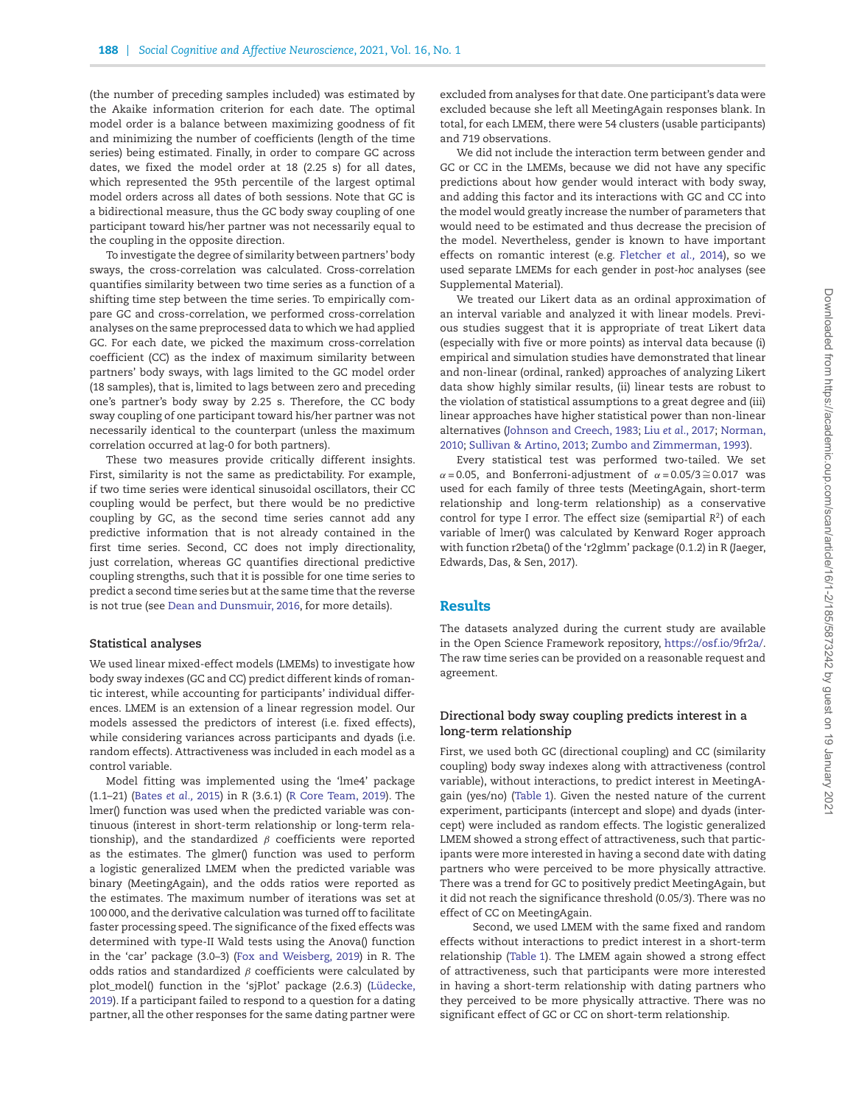(the number of preceding samples included) was estimated by the Akaike information criterion for each date. The optimal model order is a balance between maximizing goodness of fit and minimizing the number of coefficients (length of the time series) being estimated. Finally, in order to compare GC across dates, we fixed the model order at 18 (2.25 s) for all dates, which represented the 95th percentile of the largest optimal model orders across all dates of both sessions. Note that GC is a bidirectional measure, thus the GC body sway coupling of one participant toward his/her partner was not necessarily equal to the coupling in the opposite direction.

To investigate the degree of similarity between partners' body sways, the cross-correlation was calculated. Cross-correlation quantifies similarity between two time series as a function of a shifting time step between the time series. To empirically compare GC and cross-correlation, we performed cross-correlation analyses on the same preprocessed data to which we had applied GC. For each date, we picked the maximum cross-correlation coefficient (CC) as the index of maximum similarity between partners' body sways, with lags limited to the GC model order (18 samples), that is, limited to lags between zero and preceding one's partner's body sway by 2.25 s. Therefore, the CC body sway coupling of one participant toward his/her partner was not necessarily identical to the counterpart (unless the maximum correlation occurred at lag-0 for both partners).

These two measures provide critically different insights. First, similarity is not the same as predictability. For example, if two time series were identical sinusoidal oscillators, their CC coupling would be perfect, but there would be no predictive coupling by GC, as the second time series cannot add any predictive information that is not already contained in the first time series. Second, CC does not imply directionality, just correlation, whereas GC quantifies directional predictive coupling strengths, such that it is possible for one time series to predict a second time series but at the same time that the reverse is not true (see [Dean and Dunsmuir, 2016,](#page-6-11) for more details).

#### **Statistical analyses**

We used linear mixed-effect models (LMEMs) to investigate how body sway indexes (GC and CC) predict different kinds of romantic interest, while accounting for participants' individual differences. LMEM is an extension of a linear regression model. Our models assessed the predictors of interest (i.e. fixed effects), while considering variances across participants and dyads (i.e. random effects). Attractiveness was included in each model as a control variable.

Model fitting was implemented using the 'lme4' package (1.1–21) [\(Bates](#page-6-12) *et al.,* 2015) in R (3.6.1) [\(R Core Team, 2019\)](#page-6-13). The lmer() function was used when the predicted variable was continuous (interest in short-term relationship or long-term relationship), and the standardized *β* coefficients were reported as the estimates. The glmer() function was used to perform a logistic generalized LMEM when the predicted variable was binary (MeetingAgain), and the odds ratios were reported as the estimates. The maximum number of iterations was set at 100 000, and the derivative calculation was turned off to facilitate faster processing speed. The significance of the fixed effects was determined with type-II Wald tests using the Anova() function in the 'car' package (3.0–3) [\(Fox and Weisberg, 2019\)](#page-6-14) in R. The odds ratios and standardized *β* coefficients were calculated by [plot\\_model\(\) function in the 'sjPlot' package \(2.6.3\) \(Lüdecke,](#page-6-15) 2019). If a participant failed to respond to a question for a dating partner, all the other responses for the same dating partner were excluded from analyses for that date. One participant's data were excluded because she left all MeetingAgain responses blank. In total, for each LMEM, there were 54 clusters (usable participants) and 719 observations.

We did not include the interaction term between gender and GC or CC in the LMEMs, because we did not have any specific predictions about how gender would interact with body sway, and adding this factor and its interactions with GC and CC into the model would greatly increase the number of parameters that would need to be estimated and thus decrease the precision of the model. Nevertheless, gender is known to have important effects on romantic interest (e.g. [Fletcher](#page-6-16) *et al.,* 2014), so we used separate LMEMs for each gender in *post-hoc* analyses (see Supplemental Material).

We treated our Likert data as an ordinal approximation of an interval variable and analyzed it with linear models. Previous studies suggest that it is appropriate of treat Likert data (especially with five or more points) as interval data because (i) empirical and simulation studies have demonstrated that linear and non-linear (ordinal, ranked) approaches of analyzing Likert data show highly similar results, (ii) linear tests are robust to the violation of statistical assumptions to a great degree and (iii) linear approaches have higher statistical power than non-linear [alternatives \(](#page-6-19)[Johnson and Creech, 1983](#page-6-17)[;](#page-6-19) Liu *et al*[., 2017;](#page-6-18) Norman, 2010; [Sullivan & Artino, 2013;](#page-7-6) [Zumbo and Zimmerman, 1993\)](#page-7-7).

Every statistical test was performed two-tailed. We set  $\alpha$  = 0.05, and Bonferroni-adjustment of  $\alpha$  = 0.05/3 ≅ 0.017 was used for each family of three tests (MeetingAgain, short-term relationship and long-term relationship) as a conservative control for type I error. The effect size (semipartial *R*2) of each variable of lmer() was calculated by Kenward Roger approach with function r2beta() of the 'r2glmm' package (0.1.2) in R (Jaeger, Edwards, Das, & Sen, 2017).

#### **Results**

The datasets analyzed during the current study are available in the Open Science Framework repository, [https://osf.io/9fr2a/.](https://osf.io/9fr2a/) The raw time series can be provided on a reasonable request and agreement.

#### **Directional body sway coupling predicts interest in a long-term relationship**

First, we used both GC (directional coupling) and CC (similarity coupling) body sway indexes along with attractiveness (control variable), without interactions, to predict interest in MeetingAgain (yes/no) [\(Table 1\)](#page-4-0). Given the nested nature of the current experiment, participants (intercept and slope) and dyads (intercept) were included as random effects. The logistic generalized LMEM showed a strong effect of attractiveness, such that participants were more interested in having a second date with dating partners who were perceived to be more physically attractive. There was a trend for GC to positively predict MeetingAgain, but it did not reach the significance threshold (0.05/3). There was no effect of CC on MeetingAgain.

Second, we used LMEM with the same fixed and random effects without interactions to predict interest in a short-term relationship [\(Table 1\)](#page-4-0). The LMEM again showed a strong effect of attractiveness, such that participants were more interested in having a short-term relationship with dating partners who they perceived to be more physically attractive. There was no significant effect of GC or CC on short-term relationship.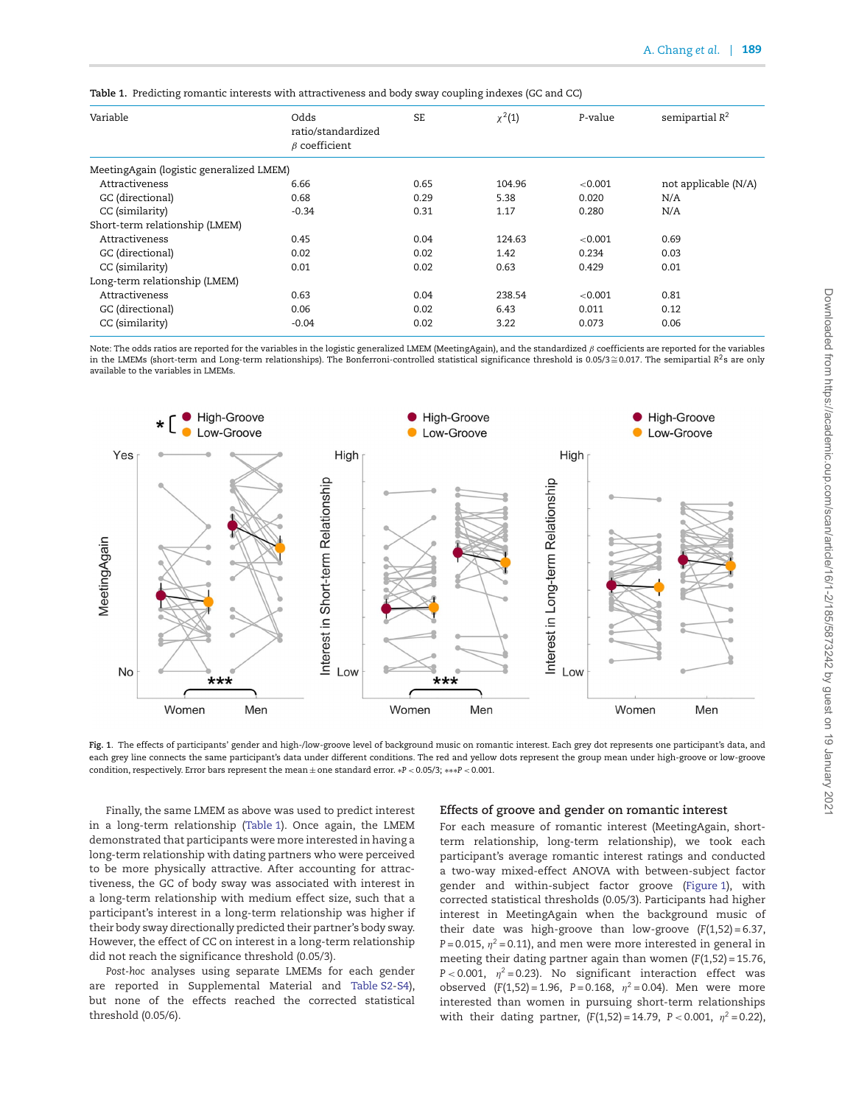<span id="page-4-0"></span>

|  |  | Table 1. Predicting romantic interests with attractiveness and body sway coupling indexes (GC and CC) |  |  |  |  |  |  |  |  |
|--|--|-------------------------------------------------------------------------------------------------------|--|--|--|--|--|--|--|--|
|--|--|-------------------------------------------------------------------------------------------------------|--|--|--|--|--|--|--|--|

| Variable                                 | Odds<br>ratio/standardized<br>$\beta$ coefficient | <b>SE</b> | $\chi^{2}(1)$ | P-value | semipartial $R^2$    |
|------------------------------------------|---------------------------------------------------|-----------|---------------|---------|----------------------|
| MeetingAgain (logistic generalized LMEM) |                                                   |           |               |         |                      |
| Attractiveness                           | 6.66                                              | 0.65      | 104.96        | < 0.001 | not applicable (N/A) |
| GC (directional)                         | 0.68                                              | 0.29      | 5.38          | 0.020   | N/A                  |
| CC (similarity)                          | $-0.34$                                           | 0.31      | 1.17          | 0.280   | N/A                  |
| Short-term relationship (LMEM)           |                                                   |           |               |         |                      |
| Attractiveness                           | 0.45                                              | 0.04      | 124.63        | < 0.001 | 0.69                 |
| GC (directional)                         | 0.02                                              | 0.02      | 1.42          | 0.234   | 0.03                 |
| CC (similarity)                          | 0.01                                              | 0.02      | 0.63          | 0.429   | 0.01                 |
| Long-term relationship (LMEM)            |                                                   |           |               |         |                      |
| <b>Attractiveness</b>                    | 0.63                                              | 0.04      | 238.54        | < 0.001 | 0.81                 |
| GC (directional)                         | 0.06                                              | 0.02      | 6.43          | 0.011   | 0.12                 |
| CC (similarity)                          | $-0.04$                                           | 0.02      | 3.22          | 0.073   | 0.06                 |

Note: The odds ratios are reported for the variables in the logistic generalized LMEM (MeetingAgain), and the standardized *β* coefficients are reported for the variables in the LMEMs (short-term and Long-term relationships). The Bonferroni-controlled statistical significance threshold is 0.05/3≅0.017. The semipartial *R*<sup>2</sup>s are only available to the variables in LMEMs.



<span id="page-4-1"></span>**Fig. 1**. The effects of participants' gender and high-/low-groove level of background music on romantic interest. Each grey dot represents one participant's data, and each grey line connects the same participant's data under different conditions. The red and yellow dots represent the group mean under high-groove or low-groove condition, respectively. Error bars represent the mean ± one standard error. ∗*P <* 0.05/3; ∗∗∗*P <* 0.001.

Finally, the same LMEM as above was used to predict interest in a long-term relationship [\(Table 1\)](#page-4-0). Once again, the LMEM demonstrated that participants were more interested in having a long-term relationship with dating partners who were perceived to be more physically attractive. After accounting for attractiveness, the GC of body sway was associated with interest in a long-term relationship with medium effect size, such that a participant's interest in a long-term relationship was higher if their body sway directionally predicted their partner's body sway. However, the effect of CC on interest in a long-term relationship did not reach the significance threshold (0.05/3).

*Post-hoc* analyses using separate LMEMs for each gender are reported in Supplemental Material and [Table S2-S4\)](https://academic.oup.com/scan/article-lookup/doi/10.1093/scan/nsaa093#supplementary-data), but none of the effects reached the corrected statistical threshold (0.05/6).

#### **Effects of groove and gender on romantic interest**

For each measure of romantic interest (MeetingAgain, shortterm relationship, long-term relationship), we took each participant's average romantic interest ratings and conducted a two-way mixed-effect ANOVA with between-subject factor gender and within-subject factor groove [\(Figure 1\)](#page-4-1), with corrected statistical thresholds (0.05/3). Participants had higher interest in MeetingAgain when the background music of their date was high-groove than low-groove (*F*(1,52) = 6.37, *P* = 0.015,  $\eta^2$  = 0.11), and men were more interested in general in meeting their dating partner again than women (*F*(1,52) = 15.76, *P <* 0.001, *η<sup>2</sup>* = 0.23). No significant interaction effect was observed (*F*(1,52) = 1.96, *P* = 0.168, *η<sup>2</sup>* = 0.04). Men were more interested than women in pursuing short-term relationships with their dating partner,  $(F(1,52) = 14.79, P < 0.001, \eta^2 = 0.22)$ ,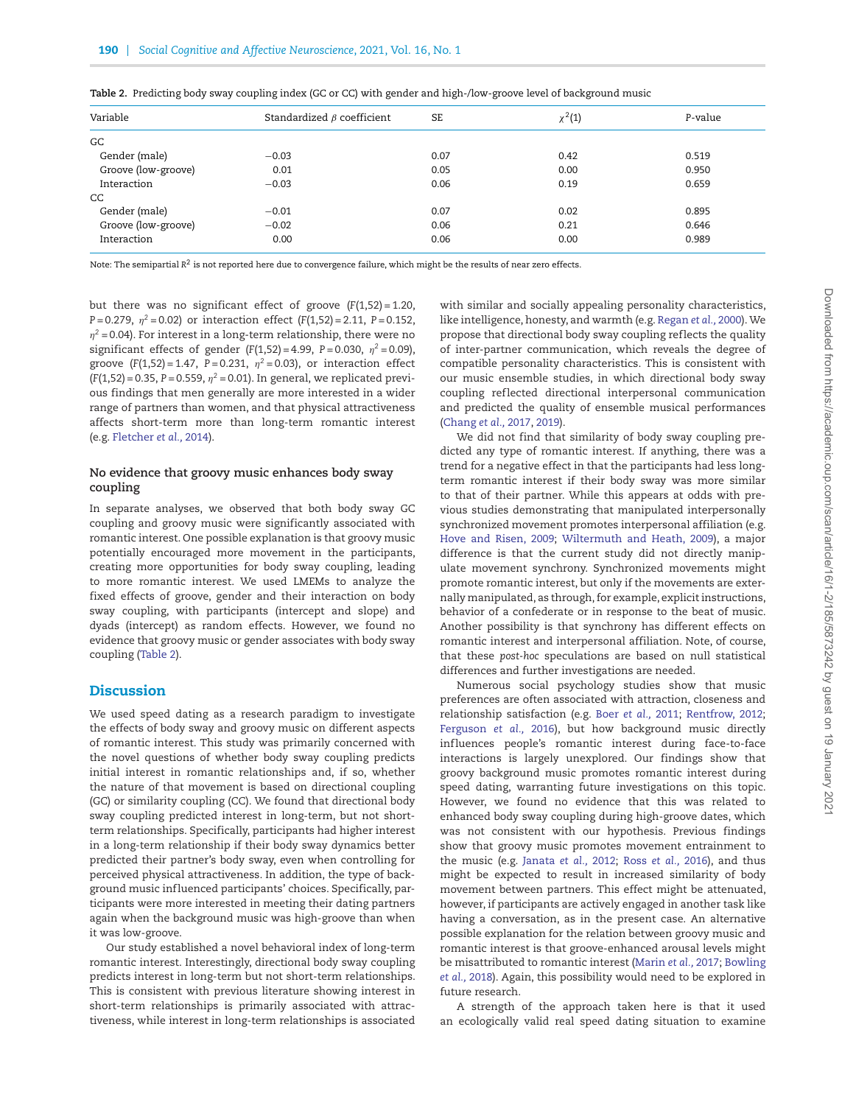| Variable            | Standardized $\beta$ coefficient | <b>SE</b> | $\chi^{2}(1)$ | P-value |
|---------------------|----------------------------------|-----------|---------------|---------|
| GC                  |                                  |           |               |         |
| Gender (male)       | $-0.03$                          | 0.07      | 0.42          | 0.519   |
| Groove (low-groove) | 0.01                             | 0.05      | 0.00          | 0.950   |
| Interaction         | $-0.03$                          | 0.06      | 0.19          | 0.659   |
| CC.                 |                                  |           |               |         |
| Gender (male)       | $-0.01$                          | 0.07      | 0.02          | 0.895   |
| Groove (low-groove) | $-0.02$                          | 0.06      | 0.21          | 0.646   |
| Interaction         | 0.00                             | 0.06      | 0.00          | 0.989   |

<span id="page-5-0"></span>**Table 2.** Predicting body sway coupling index (GC or CC) with gender and high-/low-groove level of background music

Note: The semipartial  $R^2$  is not reported here due to convergence failure, which might be the results of near zero effects.

but there was no significant effect of groove (*F*(1,52) = 1.20, *P* = 0.279, *η<sup>2</sup>* = 0.02) or interaction effect (*F*(1,52) = 2.11, *P* = 0.152,  $\eta^2$  = 0.04). For interest in a long-term relationship, there were no significant effects of gender  $(F(1,52) = 4.99, P = 0.030, \eta^2 = 0.09)$ , groove  $(F(1,52) = 1.47, P = 0.231, \eta^2 = 0.03)$ , or interaction effect  $(F(1,52) = 0.35, P = 0.559, \eta^2 = 0.01)$ . In general, we replicated previous findings that men generally are more interested in a wider range of partners than women, and that physical attractiveness affects short-term more than long-term romantic interest (e.g. [Fletcher](#page-6-16) *et al.,* 2014).

## **No evidence that groovy music enhances body sway coupling**

In separate analyses, we observed that both body sway GC coupling and groovy music were significantly associated with romantic interest. One possible explanation is that groovy music potentially encouraged more movement in the participants, creating more opportunities for body sway coupling, leading to more romantic interest. We used LMEMs to analyze the fixed effects of groove, gender and their interaction on body sway coupling, with participants (intercept and slope) and dyads (intercept) as random effects. However, we found no evidence that groovy music or gender associates with body sway coupling [\(Table 2\)](#page-5-0).

## **Discussion**

We used speed dating as a research paradigm to investigate the effects of body sway and groovy music on different aspects of romantic interest. This study was primarily concerned with the novel questions of whether body sway coupling predicts initial interest in romantic relationships and, if so, whether the nature of that movement is based on directional coupling (GC) or similarity coupling (CC). We found that directional body sway coupling predicted interest in long-term, but not shortterm relationships. Specifically, participants had higher interest in a long-term relationship if their body sway dynamics better predicted their partner's body sway, even when controlling for perceived physical attractiveness. In addition, the type of background music inf luenced participants' choices. Specifically, participants were more interested in meeting their dating partners again when the background music was high-groove than when it was low-groove.

Our study established a novel behavioral index of long-term romantic interest. Interestingly, directional body sway coupling predicts interest in long-term but not short-term relationships. This is consistent with previous literature showing interest in short-term relationships is primarily associated with attractiveness, while interest in long-term relationships is associated

with similar and socially appealing personality characteristics, like intelligence, honesty, and warmth (e.g. [Regan](#page-7-8) *et al.,* 2000).We propose that directional body sway coupling ref lects the quality of inter-partner communication, which reveals the degree of compatible personality characteristics. This is consistent with our music ensemble studies, in which directional body sway coupling ref lected directional interpersonal communication and predicted the quality of ensemble musical performances [\(Chang](#page-6-5) *et al.,* 2017, [2019\)](#page-6-6).

We did not find that similarity of body sway coupling predicted any type of romantic interest. If anything, there was a trend for a negative effect in that the participants had less longterm romantic interest if their body sway was more similar to that of their partner. While this appears at odds with previous studies demonstrating that manipulated interpersonally synchronized movement promotes interpersonal affiliation (e.g. [Hove and Risen, 2009;](#page-6-7) [Wiltermuth and Heath, 2009\)](#page-7-2), a major difference is that the current study did not directly manipulate movement synchrony. Synchronized movements might promote romantic interest, but only if the movements are externally manipulated, as through, for example, explicit instructions, behavior of a confederate or in response to the beat of music. Another possibility is that synchrony has different effects on romantic interest and interpersonal affiliation. Note, of course, that these *post-hoc* speculations are based on null statistical differences and further investigations are needed.

Numerous social psychology studies show that music preferences are often associated with attraction, closeness and relationship satisfaction (e.g. Boer *[et al.,](#page-6-20)* 2011; [Rentfrow, 2012;](#page-7-9) [Ferguson](#page-6-21) *et al.,* 2016), but how background music directly influences people's romantic interest during face-to-face interactions is largely unexplored. Our findings show that groovy background music promotes romantic interest during speed dating, warranting future investigations on this topic. However, we found no evidence that this was related to enhanced body sway coupling during high-groove dates, which was not consistent with our hypothesis. Previous findings show that groovy music promotes movement entrainment to the music (e.g. [Janata](#page-6-9) *et al.,* 2012; Ross *[et al.,](#page-7-5)* 2016), and thus might be expected to result in increased similarity of body movement between partners. This effect might be attenuated, however, if participants are actively engaged in another task like having a conversation, as in the present case. An alternative possible explanation for the relation between groovy music and romantic interest is that groove-enhanced arousal levels might be misattributed to romantic interest [\(Marin](#page-6-22) *et al.,* 2017; Bowling *et al.,* [2018\). Again, this possibility would need to be explored in](#page-6-23) future research.

A strength of the approach taken here is that it used an ecologically valid real speed dating situation to examine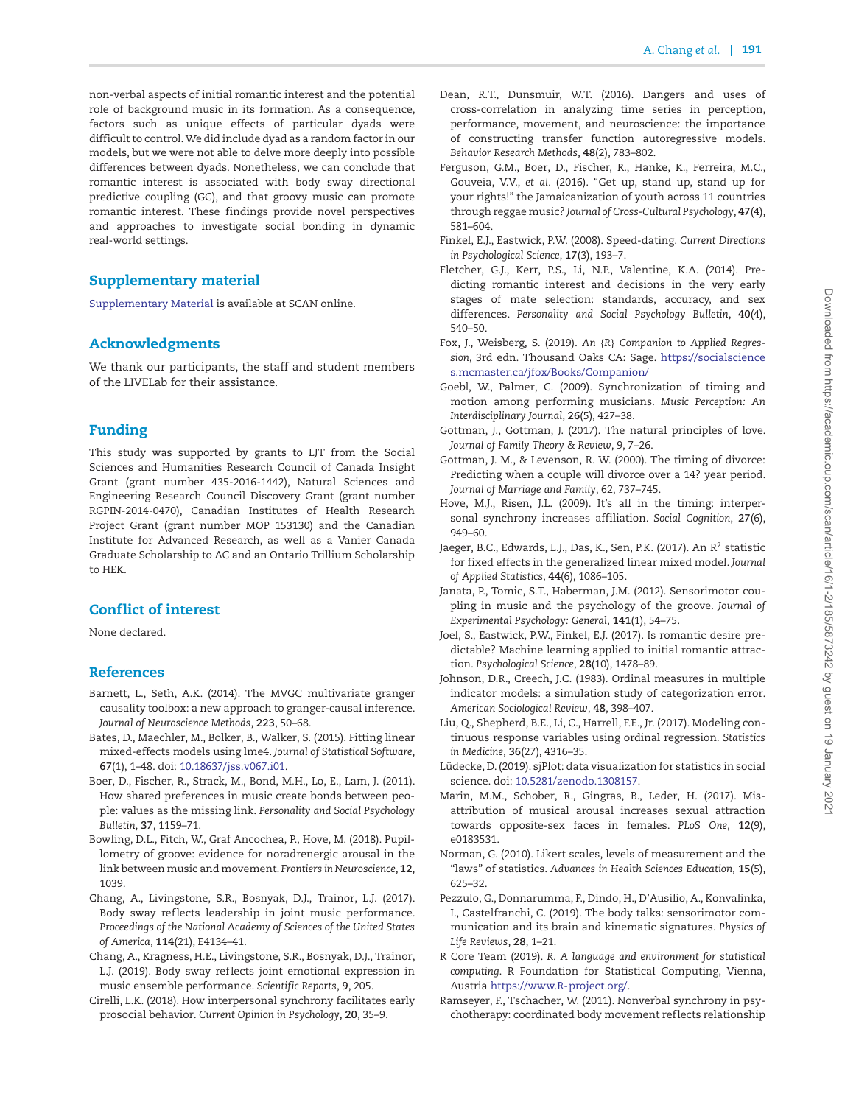non-verbal aspects of initial romantic interest and the potential role of background music in its formation. As a consequence, factors such as unique effects of particular dyads were difficult to control.We did include dyad as a random factor in our models, but we were not able to delve more deeply into possible differences between dyads. Nonetheless, we can conclude that romantic interest is associated with body sway directional predictive coupling (GC), and that groovy music can promote romantic interest. These findings provide novel perspectives and approaches to investigate social bonding in dynamic real-world settings.

# **Supplementary material**

[Supplementary Material](https://academic.oup.com/scan/article-lookup/doi/10.1093/scan/nsaa093#supplementary-data) is available at SCAN online.

# **Acknowledgments**

We thank our participants, the staff and student members of the LIVELab for their assistance.

## **Funding**

This study was supported by grants to LJT from the Social Sciences and Humanities Research Council of Canada Insight Grant (grant number 435-2016-1442), Natural Sciences and Engineering Research Council Discovery Grant (grant number RGPIN-2014-0470), Canadian Institutes of Health Research Project Grant (grant number MOP 153130) and the Canadian Institute for Advanced Research, as well as a Vanier Canada Graduate Scholarship to AC and an Ontario Trillium Scholarship to HEK.

# **Conflict of interest**

None declared.

### **References**

- <span id="page-6-10"></span>Barnett, L., Seth, A.K. (2014). The MVGC multivariate granger causality toolbox: a new approach to granger-causal inference. *Journal of Neuroscience Methods*, **223**, 50–68.
- <span id="page-6-12"></span>Bates, D., Maechler, M., Bolker, B., Walker, S. (2015). Fitting linear mixed-effects models using lme4. *Journal of Statistical Software*, **67**(1), 1–48. doi: [10.18637/jss.v067.i01.](https://doi.org/10.18637/jss.v067.i01)
- <span id="page-6-20"></span>Boer, D., Fischer, R., Strack, M., Bond, M.H., Lo, E., Lam, J. (2011). How shared preferences in music create bonds between people: values as the missing link. *Personality and Social Psychology Bulletin*, **37**, 1159–71.
- <span id="page-6-23"></span>Bowling, D.L., Fitch, W., Graf Ancochea, P., Hove, M. (2018). Pupillometry of groove: evidence for noradrenergic arousal in the link between music and movement. *Frontiers in Neuroscience*, **12**, 1039.
- <span id="page-6-5"></span>Chang, A., Livingstone, S.R., Bosnyak, D.J., Trainor, L.J. (2017). Body sway reflects leadership in joint music performance. *Proceedings of the National Academy of Sciences of the United States of America*, **114**(21), E4134–41.
- <span id="page-6-6"></span>Chang, A., Kragness, H.E., Livingstone, S.R., Bosnyak, D.J., Trainor, L.J. (2019). Body sway reflects joint emotional expression in music ensemble performance. *Scientific Reports*, **9**, 205.
- <span id="page-6-8"></span>Cirelli, L.K. (2018). How interpersonal synchrony facilitates early prosocial behavior. *Current Opinion in Psychology*, **20**, 35–9.
- <span id="page-6-11"></span>Dean, R.T., Dunsmuir, W.T. (2016). Dangers and uses of cross-correlation in analyzing time series in perception, performance, movement, and neuroscience: the importance of constructing transfer function autoregressive models. *Behavior Research Methods*, **48**(2), 783–802.
- <span id="page-6-21"></span>Ferguson, G.M., Boer, D., Fischer, R., Hanke, K., Ferreira, M.C., Gouveia, V.V., *et al.* (2016). "Get up, stand up, stand up for your rights!" the Jamaicanization of youth across 11 countries through reggae music? *Journal of Cross-Cultural Psychology*, **47**(4), 581–604.
- <span id="page-6-0"></span>Finkel, E.J., Eastwick, P.W. (2008). Speed-dating. *Current Directions in Psychological Science*, **17**(3), 193–7.
- <span id="page-6-16"></span>Fletcher, G.J., Kerr, P.S., Li, N.P., Valentine, K.A. (2014). Predicting romantic interest and decisions in the very early stages of mate selection: standards, accuracy, and sex differences. *Personality and Social Psychology Bulletin*, **40**(4), 540–50.
- <span id="page-6-14"></span>Fox, J., Weisberg, S. (2019). *An* {*R*} *Companion to Applied Regression*, 3rd edn. Thousand Oaks CA: Sage. [https://socialscience](https://socialsciences.mcmaster.ca/jfox/Books/Companion/) [s.mcmaster.ca/jfox/Books/Companion/](https://socialsciences.mcmaster.ca/jfox/Books/Companion/)
- <span id="page-6-2"></span>Goebl, W., Palmer, C. (2009). Synchronization of timing and motion among performing musicians. *Music Perception: An Interdisciplinary Journal*, **26**(5), 427–38.
- Gottman, J., Gottman, J. (2017). The natural principles of love. *Journal of Family Theory & Review*, 9, 7–26.
- Gottman, J. M., & Levenson, R. W. (2000). The timing of divorce: Predicting when a couple will divorce over a 14? year period. *Journal of Marriage and Family*, 62, 737–745.
- <span id="page-6-7"></span>Hove, M.J., Risen, J.L. (2009). It's all in the timing: interpersonal synchrony increases affiliation. *Social Cognition*, **27**(6), 949–60.
- Jaeger, B.C., Edwards, L.J., Das, K., Sen, P.K. (2017). An R<sup>2</sup> statistic for fixed effects in the generalized linear mixed model. *Journal of Applied Statistics*, **44**(6), 1086–105.
- <span id="page-6-9"></span>Janata, P., Tomic, S.T., Haberman, J.M. (2012). Sensorimotor coupling in music and the psychology of the groove. *Journal of Experimental Psychology: General*, **141**(1), 54–75.
- <span id="page-6-1"></span>Joel, S., Eastwick, P.W., Finkel, E.J. (2017). Is romantic desire predictable? Machine learning applied to initial romantic attraction. *Psychological Science*, **28**(10), 1478–89.
- <span id="page-6-17"></span>Johnson, D.R., Creech, J.C. (1983). Ordinal measures in multiple indicator models: a simulation study of categorization error. *American Sociological Review*, **48**, 398–407.
- <span id="page-6-18"></span>Liu, Q., Shepherd, B.E., Li, C., Harrell, F.E., Jr. (2017). Modeling continuous response variables using ordinal regression. *Statistics in Medicine*, **36**(27), 4316–35.
- <span id="page-6-15"></span>Lüdecke, D. (2019). sjPlot: data visualization for statistics in social science. doi: [10.5281/zenodo.1308157.](https://doi.org/10.5281/zenodo.1308157)
- <span id="page-6-22"></span>Marin, M.M., Schober, R., Gingras, B., Leder, H. (2017). Misattribution of musical arousal increases sexual attraction towards opposite-sex faces in females. *PLoS One*, **12**(9), e0183531.
- <span id="page-6-19"></span>Norman, G. (2010). Likert scales, levels of measurement and the "laws" of statistics. *Advances in Health Sciences Education*, **15**(5), 625–32.
- <span id="page-6-4"></span>Pezzulo, G., Donnarumma, F., Dindo, H., D'Ausilio, A., Konvalinka, I., Castelfranchi, C. (2019). The body talks: sensorimotor communication and its brain and kinematic signatures. *Physics of Life Reviews*, **28**, 1–21.
- <span id="page-6-13"></span>R Core Team (2019). *R: A language and environment for statistical computing*. R Foundation for Statistical Computing, Vienna, Austria [https://www.R-project.org/.](https://www.R-project.org/)
- <span id="page-6-3"></span>Ramseyer, F., Tschacher, W. (2011). Nonverbal synchrony in psychotherapy: coordinated body movement ref lects relationship